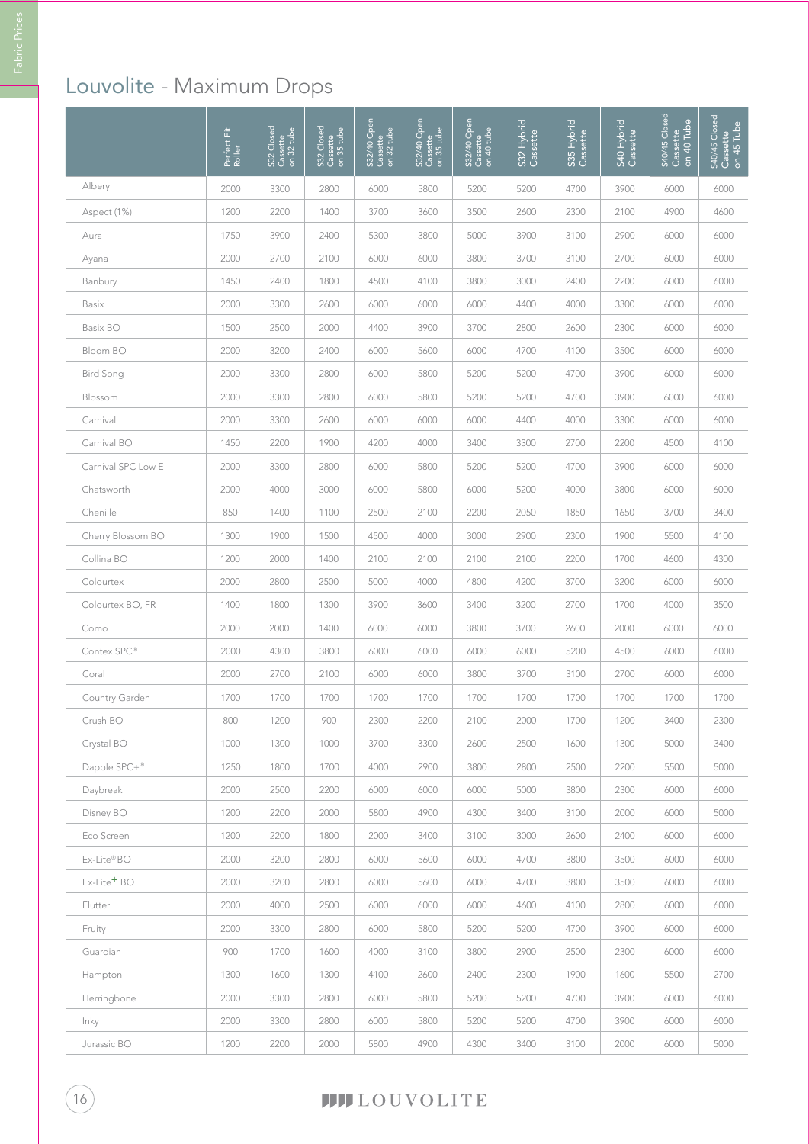# Louvolite - Maximum Drops

|                            | 置<br>Perfect F<br>Roller | S32 Closed<br>Cassette<br>on 32 tube | S32 Closed<br>Cassette<br>on 35 tube | S32/40 Open<br>Cassette<br>on 32 tube | S32/40 Open<br>Cassette<br>on 35 tube | S32/40 Open<br>Cassette<br>on 40 tube | S32 Hybrid<br>Cassette | S35 Hybrid<br>Cassette | S40 Hybrid<br>Cassette | S40/45 Closed<br>$\overline{on}$ 40 Tube<br>Cassette | S40/45 Closed<br>Cassette<br>on 45 Tube |
|----------------------------|--------------------------|--------------------------------------|--------------------------------------|---------------------------------------|---------------------------------------|---------------------------------------|------------------------|------------------------|------------------------|------------------------------------------------------|-----------------------------------------|
| Albery                     | 2000                     | 3300                                 | 2800                                 | 6000                                  | 5800                                  | 5200                                  | 5200                   | 4700                   | 3900                   | 6000                                                 | 6000                                    |
| Aspect (1%)                | 1200                     | 2200                                 | 1400                                 | 3700                                  | 3600                                  | 3500                                  | 2600                   | 2300                   | 2100                   | 4900                                                 | 4600                                    |
| Aura                       | 1750                     | 3900                                 | 2400                                 | 5300                                  | 3800                                  | 5000                                  | 3900                   | 3100                   | 2900                   | 6000                                                 | 6000                                    |
| Ayana                      | 2000                     | 2700                                 | 2100                                 | 6000                                  | 6000                                  | 3800                                  | 3700                   | 3100                   | 2700                   | 6000                                                 | 6000                                    |
| Banbury                    | 1450                     | 2400                                 | 1800                                 | 4500                                  | 4100                                  | 3800                                  | 3000                   | 2400                   | 2200                   | 6000                                                 | 6000                                    |
| Basix                      | 2000                     | 3300                                 | 2600                                 | 6000                                  | 6000                                  | 6000                                  | 4400                   | 4000                   | 3300                   | 6000                                                 | 6000                                    |
| Basix BO                   | 1500                     | 2500                                 | 2000                                 | 4400                                  | 3900                                  | 3700                                  | 2800                   | 2600                   | 2300                   | 6000                                                 | 6000                                    |
| Bloom BO                   | 2000                     | 3200                                 | 2400                                 | 6000                                  | 5600                                  | 6000                                  | 4700                   | 4100                   | 3500                   | 6000                                                 | 6000                                    |
| <b>Bird Song</b>           | 2000                     | 3300                                 | 2800                                 | 6000                                  | 5800                                  | 5200                                  | 5200                   | 4700                   | 3900                   | 6000                                                 | 6000                                    |
| Blossom                    | 2000                     | 3300                                 | 2800                                 | 6000                                  | 5800                                  | 5200                                  | 5200                   | 4700                   | 3900                   | 6000                                                 | 6000                                    |
| Carnival                   | 2000                     | 3300                                 | 2600                                 | 6000                                  | 6000                                  | 6000                                  | 4400                   | 4000                   | 3300                   | 6000                                                 | 6000                                    |
| Carnival BO                | 1450                     | 2200                                 | 1900                                 | 4200                                  | 4000                                  | 3400                                  | 3300                   | 2700                   | 2200                   | 4500                                                 | 4100                                    |
| Carnival SPC Low E         | 2000                     | 3300                                 | 2800                                 | 6000                                  | 5800                                  | 5200                                  | 5200                   | 4700                   | 3900                   | 6000                                                 | 6000                                    |
| Chatsworth                 | 2000                     | 4000                                 | 3000                                 | 6000                                  | 5800                                  | 6000                                  | 5200                   | 4000                   | 3800                   | 6000                                                 | 6000                                    |
| Chenille                   | 850                      | 1400                                 | 1100                                 | 2500                                  | 2100                                  | 2200                                  | 2050                   | 1850                   | 1650                   | 3700                                                 | 3400                                    |
| Cherry Blossom BO          | 1300                     | 1900                                 | 1500                                 | 4500                                  | 4000                                  | 3000                                  | 2900                   | 2300                   | 1900                   | 5500                                                 | 4100                                    |
| Collina BO                 | 1200                     | 2000                                 | 1400                                 | 2100                                  | 2100                                  | 2100                                  | 2100                   | 2200                   | 1700                   | 4600                                                 | 4300                                    |
| Colourtex                  | 2000                     | 2800                                 | 2500                                 | 5000                                  | 4000                                  | 4800                                  | 4200                   | 3700                   | 3200                   | 6000                                                 | 6000                                    |
| Colourtex BO, FR           | 1400                     | 1800                                 | 1300                                 | 3900                                  | 3600                                  | 3400                                  | 3200                   | 2700                   | 1700                   | 4000                                                 | 3500                                    |
| Como                       | 2000                     | 2000                                 | 1400                                 | 6000                                  | 6000                                  | 3800                                  | 3700                   | 2600                   | 2000                   | 6000                                                 | 6000                                    |
| Contex SPC <sup>®</sup>    | 2000                     | 4300                                 | 3800                                 | 6000                                  | 6000                                  | 6000                                  | 6000                   | 5200                   | 4500                   | 6000                                                 | 6000                                    |
| Coral                      | 2000                     | 2700                                 | 2100                                 | 6000                                  | 6000                                  | 3800                                  | 3700                   | 3100                   | 2700                   | 6000                                                 | 6000                                    |
| Country Garden             | 1700                     | 1700                                 | 1700                                 | 1700                                  | 1700                                  | 1700                                  | 1700                   | 1700                   | 1700                   | 1700                                                 | 1700                                    |
| Crush BO                   | 800                      | 1200                                 | 900                                  | 2300                                  | 2200                                  | 2100                                  | 2000                   | 1700                   | 1200                   | 3400                                                 | 2300                                    |
| Crystal BO                 | 1000                     | 1300                                 | 1000                                 | 3700                                  | 3300                                  | 2600                                  | 2500                   | 1600                   | 1300                   | 5000                                                 | 3400                                    |
| Dapple SPC+®               | 1250                     | 1800                                 | 1700                                 | 4000                                  | 2900                                  | 3800                                  | 2800                   | 2500                   | 2200                   | 5500                                                 | 5000                                    |
| Daybreak                   | 2000                     | 2500                                 | 2200                                 | 6000                                  | 6000                                  | 6000                                  | 5000                   | 3800                   | 2300                   | 6000                                                 | 6000                                    |
| Disney BO                  | 1200                     | 2200                                 | 2000                                 | 5800                                  | 4900                                  | 4300                                  | 3400                   | 3100                   | 2000                   | 6000                                                 | 5000                                    |
| Eco Screen                 | 1200                     | 2200                                 | 1800                                 | 2000                                  | 3400                                  | 3100                                  | 3000                   | 2600                   | 2400                   | 6000                                                 | 6000                                    |
| Ex-Lite®BO                 | 2000                     | 3200                                 | 2800                                 | 6000                                  | 5600                                  | 6000                                  | 4700                   | 3800                   | 3500                   | 6000                                                 | 6000                                    |
| $Ex$ -Lite <sup>+</sup> BO | 2000                     | 3200                                 | 2800                                 | 6000                                  | 5600                                  | 6000                                  | 4700                   | 3800                   | 3500                   | 6000                                                 | 6000                                    |
| Flutter                    | 2000                     | 4000                                 | 2500                                 | 6000                                  | 6000                                  | 6000                                  | 4600                   | 4100                   | 2800                   | 6000                                                 | 6000                                    |
| Fruity                     | 2000                     | 3300                                 | 2800                                 | 6000                                  | 5800                                  | 5200                                  | 5200                   | 4700                   | 3900                   | 6000                                                 | 6000                                    |
| Guardian                   | 900                      | 1700                                 | 1600                                 | 4000                                  | 3100                                  | 3800                                  | 2900                   | 2500                   | 2300                   | 6000                                                 | 6000                                    |
| Hampton                    | 1300                     | 1600                                 | 1300                                 | 4100                                  | 2600                                  | 2400                                  | 2300                   | 1900                   | 1600                   | 5500                                                 | 2700                                    |
| Herringbone                | 2000                     | 3300                                 | 2800                                 | 6000                                  | 5800                                  | 5200                                  | 5200                   | 4700                   | 3900                   | 6000                                                 | 6000                                    |
| Inky                       | 2000                     | 3300                                 | 2800                                 | 6000                                  | 5800                                  | 5200                                  | 5200                   | 4700                   | 3900                   | 6000                                                 | 6000                                    |
| Jurassic BO                | 1200                     | 2200                                 | 2000                                 | 5800                                  | 4900                                  | 4300                                  | 3400                   | 3100                   | 2000                   | 6000                                                 | 5000                                    |

## **TITLOUVOLITE**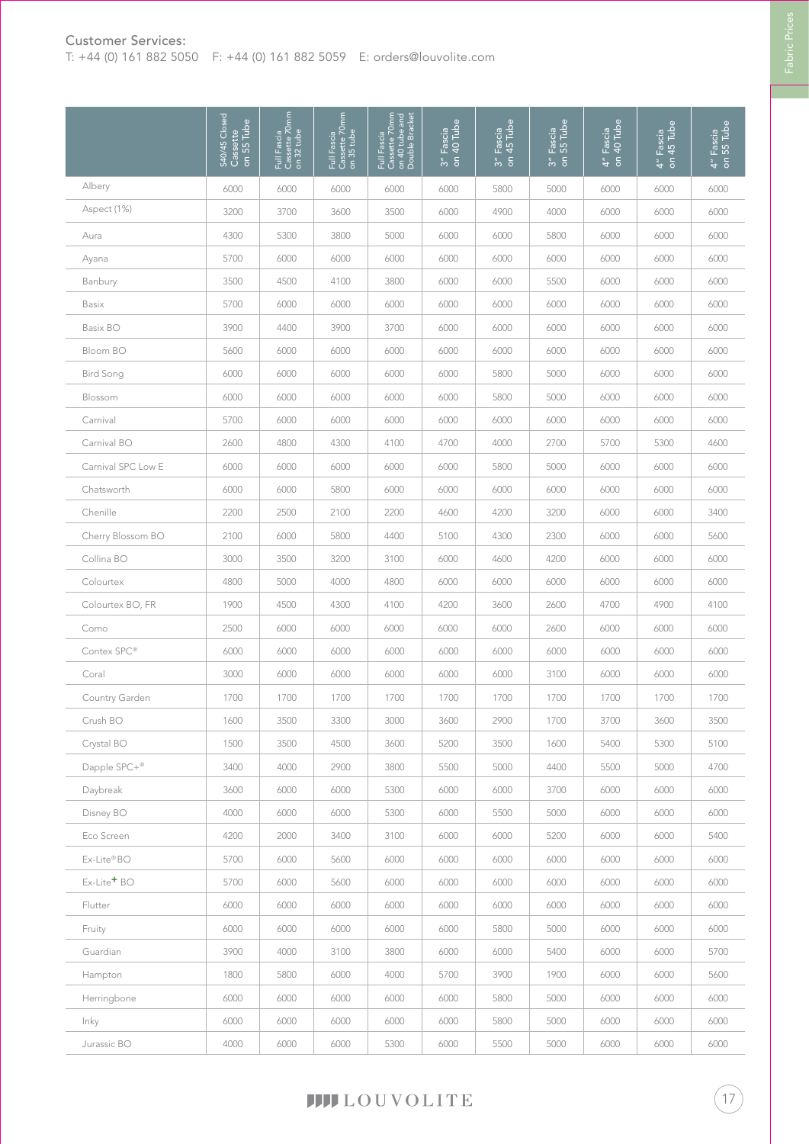#### Customer Services:

T: +44 (0) 161 882 5050 F: +44 (0) 161 882 5059 E: orders@louvolite.com

|                         | S40/45 Closed<br>Cassette<br>on 55 Tube | Full Fascia<br>Cassette 70mm<br>on 32 tube | Full Fascia<br>Cassette 70mm<br>on 35 tube | Full Fascia<br>Cassette 70mm<br>on 40 tube and<br>Double Bracket | 3" Fascia<br>on 40 Tube | 3" Fascia<br>on 45 Tube | 3" Fascia<br>on 55 Tube | 4" Fascia<br>on 40 Tube | 4" Fascia<br>on 45 Tube | 4" Fascia<br>on 55 Tube |
|-------------------------|-----------------------------------------|--------------------------------------------|--------------------------------------------|------------------------------------------------------------------|-------------------------|-------------------------|-------------------------|-------------------------|-------------------------|-------------------------|
| Albery                  | 6000                                    | 6000                                       | 6000                                       | 6000                                                             | 6000                    | 5800                    | 5000                    | 6000                    | 6000                    | 6000                    |
| Aspect (1%)             | 3200                                    | 3700                                       | 3600                                       | 3500                                                             | 6000                    | 4900                    | 4000                    | 6000                    | 6000                    | 6000                    |
| Aura                    | 4300                                    | 5300                                       | 3800                                       | 5000                                                             | 6000                    | 6000                    | 5800                    | 6000                    | 6000                    | 6000                    |
| Ayana                   | 5700                                    | 6000                                       | 6000                                       | 6000                                                             | 6000                    | 6000                    | 6000                    | 6000                    | 6000                    | 6000                    |
| Banbury                 | 3500                                    | 4500                                       | 4100                                       | 3800                                                             | 6000                    | 6000                    | 5500                    | 6000                    | 6000                    | 6000                    |
| <b>Basix</b>            | 5700                                    | 6000                                       | 6000                                       | 6000                                                             | 6000                    | 6000                    | 6000                    | 6000                    | 6000                    | 6000                    |
| Basix BO                | 3900                                    | 4400                                       | 3900                                       | 3700                                                             | 6000                    | 6000                    | 6000                    | 6000                    | 6000                    | 6000                    |
| Bloom BO                | 5600                                    | 6000                                       | 6000                                       | 6000                                                             | 6000                    | 6000                    | 6000                    | 6000                    | 6000                    | 6000                    |
| <b>Bird Song</b>        | 6000                                    | 6000                                       | 6000                                       | 6000                                                             | 6000                    | 5800                    | 5000                    | 6000                    | 6000                    | 6000                    |
| Blossom                 | 6000                                    | 6000                                       | 6000                                       | 6000                                                             | 6000                    | 5800                    | 5000                    | 6000                    | 6000                    | 6000                    |
| Carnival                | 5700                                    | 6000                                       | 6000                                       | 6000                                                             | 6000                    | 6000                    | 6000                    | 6000                    | 6000                    | 6000                    |
| Carnival BO             | 2600                                    | 4800                                       | 4300                                       | 4100                                                             | 4700                    | 4000                    | 2700                    | 5700                    | 5300                    | 4600                    |
| Carnival SPC Low E      | 6000                                    | 6000                                       | 6000                                       | 6000                                                             | 6000                    | 5800                    | 5000                    | 6000                    | 6000                    | 6000                    |
| Chatsworth              | 6000                                    | 6000                                       | 5800                                       | 6000                                                             | 6000                    | 6000                    | 6000                    | 6000                    | 6000                    | 6000                    |
| Chenille                | 2200                                    | 2500                                       | 2100                                       | 2200                                                             | 4600                    | 4200                    | 3200                    | 6000                    | 6000                    | 3400                    |
| Cherry Blossom BO       | 2100                                    | 6000                                       | 5800                                       | 4400                                                             | 5100                    | 4300                    | 2300                    | 6000                    | 6000                    | 5600                    |
| Collina BO              | 3000                                    | 3500                                       | 3200                                       | 3100                                                             | 6000                    | 4600                    | 4200                    | 6000                    | 6000                    | 6000                    |
| Colourtex               | 4800                                    | 5000                                       | 4000                                       | 4800                                                             | 6000                    | 6000                    | 6000                    | 6000                    | 6000                    | 6000                    |
| Colourtex BO, FR        | 1900                                    | 4500                                       | 4300                                       | 4100                                                             | 4200                    | 3600                    | 2600                    | 4700                    | 4900                    | 4100                    |
| Como                    | 2500                                    | 6000                                       | 6000                                       | 6000                                                             | 6000                    | 6000                    | 2600                    | 6000                    | 6000                    | 6000                    |
| Contex SPC <sup>®</sup> | 6000                                    | 6000                                       | 6000                                       | 6000                                                             | 6000                    | 6000                    | 6000                    | 6000                    | 6000                    | 6000                    |
| Coral                   | 3000                                    | 6000                                       | 6000                                       | 6000                                                             | 6000                    | 6000                    | 3100                    | 6000                    | 6000                    | 6000                    |
| Country Garden          | 1700                                    | 1700                                       | 1700                                       | 1700                                                             | 1700                    | 1700                    | 1700                    | 1700                    | 1700                    | 1700                    |
| Crush BO                | 1600                                    | 3500                                       | 3300                                       | 3000                                                             | 3600                    | 2900                    | 1700                    | 3700                    | 3600                    | 3500                    |
| Crystal BO              | 1500                                    | 3500                                       | 4500                                       | 3600                                                             | 5200                    | 3500                    | 1600                    | 5400                    | 5300                    | 5100                    |
| Dapple SPC+®            | 3400                                    | 4000                                       | 2900                                       | 3800                                                             | 5500                    | 5000                    | 4400                    | 5500                    | 5000                    | 4700                    |
| Daybreak                | 3600                                    | 6000                                       | 6000                                       | 5300                                                             | 6000                    | 6000                    | 3700                    | 6000                    | 6000                    | 6000                    |
| Disney BO               | 4000                                    | 6000                                       | 6000                                       | 5300                                                             | 6000                    | 5500                    | 5000                    | 6000                    | 6000                    | 6000                    |
| Eco Screen              | 4200                                    | 2000                                       | 3400                                       | 3100                                                             | 6000                    | 6000                    | 5200                    | 6000                    | 6000                    | 5400                    |
| Ex-Lite®BO              | 5700                                    | 6000                                       | 5600                                       | 6000                                                             | 6000                    | 6000                    | 6000                    | 6000                    | 6000                    | 6000                    |
| Ex-Lite <sup>+</sup> BO | 5700                                    | 6000                                       | 5600                                       | 6000                                                             | 6000                    | 6000                    | 6000                    | 6000                    | 6000                    | 6000                    |
| Flutter                 | 6000                                    | 6000                                       | 6000                                       | 6000                                                             | 6000                    | 6000                    | 6000                    | 6000                    | 6000                    | 6000                    |
| Fruity                  | 6000                                    | 6000                                       | 6000                                       | 6000                                                             | 6000                    | 5800                    | 5000                    | 6000                    | 6000                    | 6000                    |
| Guardian                | 3900                                    | 4000                                       | 3100                                       | 3800                                                             | 6000                    | 6000                    | 5400                    | 6000                    | 6000                    | 5700                    |
| Hampton                 | 1800                                    | 5800                                       | 6000                                       | 4000                                                             | 5700                    | 3900                    | 1900                    | 6000                    | 6000                    | 5600                    |
| Herringbone             | 6000                                    | 6000                                       | 6000                                       | 6000                                                             | 6000                    | 5800                    | 5000                    | 6000                    | 6000                    | 6000                    |
| Inky                    | 6000                                    | 6000                                       | 6000                                       | 6000                                                             | 6000                    | 5800                    | 5000                    | 6000                    | 6000                    | 6000                    |
| Jurassic BO             | 4000                                    | 6000                                       | 6000                                       | 5300                                                             | 6000                    | 5500                    | 5000                    | 6000                    | 6000                    | 6000                    |

**TITLOUVOLITE** 

17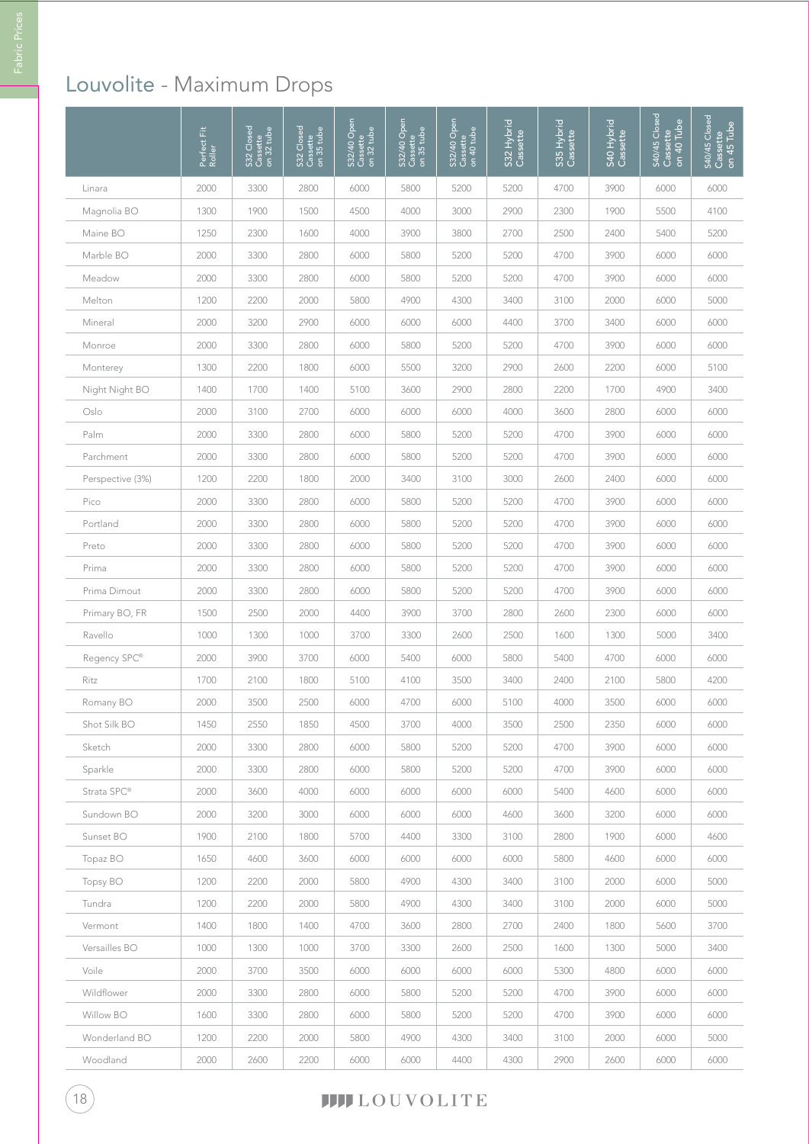# Louvolite - Maximum Drops

|                  | Perfect Fit<br>Roller | Closed<br>S32 Closed<br>Cassette<br>on 32 tube | S32 Closed<br>Cassette<br>on 35 tube | S32/40 Open<br>Cassette<br>on 32 tube | S32/40 Open<br>Cassette<br>on 35 tube | S32/40 Open<br>Cassette<br>on 40 tube | S32 Hybrid<br>Cassette | S35 Hybrid<br>Cassette | S40 Hybrid<br>Cassette | S40/45 Closed<br>Cassette<br>on 40 Tube | S40/45 Closed<br>Cassette<br>on 45 Tube |
|------------------|-----------------------|------------------------------------------------|--------------------------------------|---------------------------------------|---------------------------------------|---------------------------------------|------------------------|------------------------|------------------------|-----------------------------------------|-----------------------------------------|
| Linara           | 2000                  | 3300                                           | 2800                                 | 6000                                  | 5800                                  | 5200                                  | 5200                   | 4700                   | 3900                   | 6000                                    | 6000                                    |
| Magnolia BO      | 1300                  | 1900                                           | 1500                                 | 4500                                  | 4000                                  | 3000                                  | 2900                   | 2300                   | 1900                   | 5500                                    | 4100                                    |
| Maine BO         | 1250                  | 2300                                           | 1600                                 | 4000                                  | 3900                                  | 3800                                  | 2700                   | 2500                   | 2400                   | 5400                                    | 5200                                    |
| Marble BO        | 2000                  | 3300                                           | 2800                                 | 6000                                  | 5800                                  | 5200                                  | 5200                   | 4700                   | 3900                   | 6000                                    | 6000                                    |
| Meadow           | 2000                  | 3300                                           | 2800                                 | 6000                                  | 5800                                  | 5200                                  | 5200                   | 4700                   | 3900                   | 6000                                    | 6000                                    |
| Melton           | 1200                  | 2200                                           | 2000                                 | 5800                                  | 4900                                  | 4300                                  | 3400                   | 3100                   | 2000                   | 6000                                    | 5000                                    |
| Mineral          | 2000                  | 3200                                           | 2900                                 | 6000                                  | 6000                                  | 6000                                  | 4400                   | 3700                   | 3400                   | 6000                                    | 6000                                    |
| Monroe           | 2000                  | 3300                                           | 2800                                 | 6000                                  | 5800                                  | 5200                                  | 5200                   | 4700                   | 3900                   | 6000                                    | 6000                                    |
| Monterey         | 1300                  | 2200                                           | 1800                                 | 6000                                  | 5500                                  | 3200                                  | 2900                   | 2600                   | 2200                   | 6000                                    | 5100                                    |
| Night Night BO   | 1400                  | 1700                                           | 1400                                 | 5100                                  | 3600                                  | 2900                                  | 2800                   | 2200                   | 1700                   | 4900                                    | 3400                                    |
| Oslo             | 2000                  | 3100                                           | 2700                                 | 6000                                  | 6000                                  | 6000                                  | 4000                   | 3600                   | 2800                   | 6000                                    | 6000                                    |
| Palm             | 2000                  | 3300                                           | 2800                                 | 6000                                  | 5800                                  | 5200                                  | 5200                   | 4700                   | 3900                   | 6000                                    | 6000                                    |
| Parchment        | 2000                  | 3300                                           | 2800                                 | 6000                                  | 5800                                  | 5200                                  | 5200                   | 4700                   | 3900                   | 6000                                    | 6000                                    |
| Perspective (3%) | 1200                  | 2200                                           | 1800                                 | 2000                                  | 3400                                  | 3100                                  | 3000                   | 2600                   | 2400                   | 6000                                    | 6000                                    |
| Pico             | 2000                  | 3300                                           | 2800                                 | 6000                                  | 5800                                  | 5200                                  | 5200                   | 4700                   | 3900                   | 6000                                    | 6000                                    |
| Portland         | 2000                  | 3300                                           | 2800                                 | 6000                                  | 5800                                  | 5200                                  | 5200                   | 4700                   | 3900                   | 6000                                    | 6000                                    |
| Preto            | 2000                  | 3300                                           | 2800                                 | 6000                                  | 5800                                  | 5200                                  | 5200                   | 4700                   | 3900                   | 6000                                    | 6000                                    |
| Prima            | 2000                  | 3300                                           | 2800                                 | 6000                                  | 5800                                  | 5200                                  | 5200                   | 4700                   | 3900                   | 6000                                    | 6000                                    |
| Prima Dimout     | 2000                  | 3300                                           | 2800                                 | 6000                                  | 5800                                  | 5200                                  | 5200                   | 4700                   | 3900                   | 6000                                    | 6000                                    |
| Primary BO, FR   | 1500                  | 2500                                           | 2000                                 | 4400                                  | 3900                                  | 3700                                  | 2800                   | 2600                   | 2300                   | 6000                                    | 6000                                    |
| Ravello          | 1000                  | 1300                                           | 1000                                 | 3700                                  | 3300                                  | 2600                                  | 2500                   | 1600                   | 1300                   | 5000                                    | 3400                                    |
| Regency SPC®     | 2000                  | 3900                                           | 3700                                 | 6000                                  | 5400                                  | 6000                                  | 5800                   | 5400                   | 4700                   | 6000                                    | 6000                                    |
| Ritz             | 1700                  | 2100                                           | 1800                                 | 5100                                  | 4100                                  | 3500                                  | 3400                   | 2400                   | 2100                   | 5800                                    | 4200                                    |
| Romany BO        | 2000                  | 3500                                           | 2500                                 | 6000                                  | 4700                                  | 6000                                  | 5100                   | 4000                   | 3500                   | 6000                                    | 6000                                    |
| Shot Silk BO     | 1450                  | 2550                                           | 1850                                 | 4500                                  | 3700                                  | 4000                                  | 3500                   | 2500                   | 2350                   | 6000                                    | 6000                                    |
| Sketch           | 2000                  | 3300                                           | 2800                                 | 6000                                  | 5800                                  | 5200                                  | 5200                   | 4700                   | 3900                   | 6000                                    | 6000                                    |
| Sparkle          | 2000                  | 3300                                           | 2800                                 | 6000                                  | 5800                                  | 5200                                  | 5200                   | 4700                   | 3900                   | 6000                                    | 6000                                    |
| Strata SPC®      | 2000                  | 3600                                           | 4000                                 | 6000                                  | 6000                                  | 6000                                  | 6000                   | 5400                   | 4600                   | 6000                                    | 6000                                    |
| Sundown BO       | 2000                  | 3200                                           | 3000                                 | 6000                                  | 6000                                  | 6000                                  | 4600                   | 3600                   | 3200                   | 6000                                    | 6000                                    |
| Sunset BO        | 1900                  | 2100                                           | 1800                                 | 5700                                  | 4400                                  | 3300                                  | 3100                   | 2800                   | 1900                   | 6000                                    | 4600                                    |
| Topaz BO         | 1650                  | 4600                                           | 3600                                 | 6000                                  | 6000                                  | 6000                                  | 6000                   | 5800                   | 4600                   | 6000                                    | 6000                                    |
| <b>Topsy BO</b>  | 1200                  | 2200                                           | 2000                                 | 5800                                  | 4900                                  | 4300                                  | 3400                   | 3100                   | 2000                   | 6000                                    | 5000                                    |
| Tundra           | 1200                  | 2200                                           | 2000                                 | 5800                                  | 4900                                  | 4300                                  | 3400                   | 3100                   | 2000                   | 6000                                    | 5000                                    |
| Vermont          | 1400                  | 1800                                           | 1400                                 | 4700                                  | 3600                                  | 2800                                  | 2700                   | 2400                   | 1800                   | 5600                                    | 3700                                    |
| Versailles BO    | 1000                  | 1300                                           | 1000                                 | 3700                                  | 3300                                  | 2600                                  | 2500                   | 1600                   | 1300                   | 5000                                    | 3400                                    |
| Voile            | 2000                  | 3700                                           | 3500                                 | 6000                                  | 6000                                  | 6000                                  | 6000                   | 5300                   | 4800                   | 6000                                    | 6000                                    |
| Wildflower       | 2000                  | 3300                                           | 2800                                 | 6000                                  | 5800                                  | 5200                                  | 5200                   | 4700                   | 3900                   | 6000                                    | 6000                                    |
| Willow BO        | 1600                  | 3300                                           | 2800                                 | 6000                                  | 5800                                  | 5200                                  | 5200                   | 4700                   | 3900                   | 6000                                    | 6000                                    |
| Wonderland BO    | 1200                  | 2200                                           | 2000                                 | 5800                                  | 4900                                  | 4300                                  | 3400                   | 3100                   | 2000                   | 6000                                    | 5000                                    |
| Woodland         | 2000                  | 2600                                           | 2200                                 | 6000                                  | 6000                                  | 4400                                  | 4300                   | 2900                   | 2600                   | 6000                                    | 6000                                    |

### **TITLOUVOLITE**